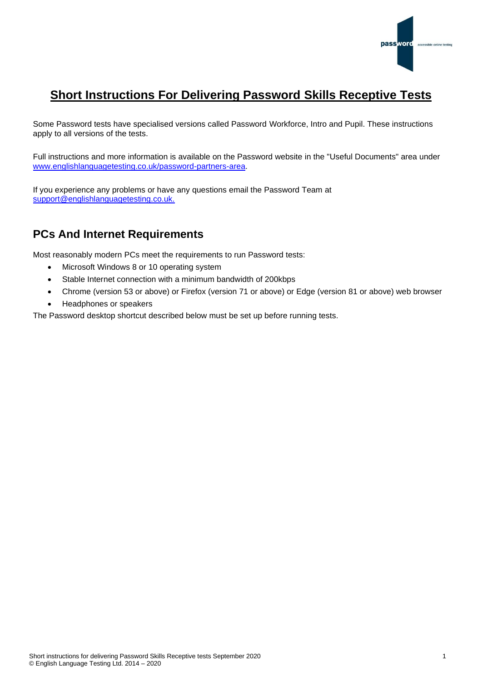

# **Short Instructions For Delivering Password Skills Receptive Tests**

Some Password tests have specialised versions called Password Workforce, Intro and Pupil. These instructions apply to all versions of the tests.

Full instructions and more information is available on the Password website in the "Useful Documents" area under [www.englishlanguagetesting.co.uk/password-partners-area.](https://www.englishlanguagetesting.co.uk/password-partners-area/)

If you experience any problems or have any questions email the Password Team at [support@englishlanguagetesting.co.uk.](mailto:support@englishlanguagetesting.co.uk)

## **PCs And Internet Requirements**

Most reasonably modern PCs meet the requirements to run Password tests:

- Microsoft Windows 8 or 10 operating system
- Stable Internet connection with a minimum bandwidth of 200kbps
- Chrome (version 53 or above) or Firefox (version 71 or above) or Edge (version 81 or above) web browser
- Headphones or speakers

The Password desktop shortcut described below must be set up before running tests.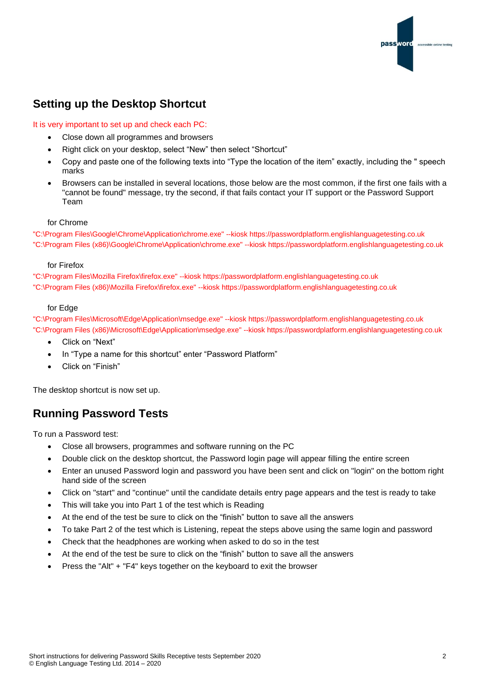

### **Setting up the Desktop Shortcut**

#### It is very important to set up and check each PC:

- Close down all programmes and browsers
- Right click on your desktop, select "New" then select "Shortcut"
- Copy and paste one of the following texts into "Type the location of the item" exactly, including the " speech marks
- Browsers can be installed in several locations, those below are the most common, if the first one fails with a "cannot be found" message, try the second, if that fails contact your IT support or the Password Support Team

#### for Chrome

"C:\Program Files\Google\Chrome\Application\chrome.exe" --kiosk https://passwordplatform.englishlanguagetesting.co.uk "C:\Program Files (x86)\Google\Chrome\Application\chrome.exe" --kiosk https://passwordplatform.englishlanguagetesting.co.uk

#### for Firefox

"C:\Program Files\Mozilla Firefox\firefox.exe" --kiosk https://passwordplatform.englishlanguagetesting.co.uk "C:\Program Files (x86)\Mozilla Firefox\firefox.exe" --kiosk https://passwordplatform.englishlanguagetesting.co.uk

#### for Edge

"C:\Program Files\Microsoft\Edge\Application\msedge.exe" --kiosk https://passwordplatform.englishlanguagetesting.co.uk "C:\Program Files (x86)\Microsoft\Edge\Application\msedge.exe" --kiosk https://passwordplatform.englishlanguagetesting.co.uk

- Click on "Next"
- In "Type a name for this shortcut" enter "Password Platform"
- Click on "Finish"

The desktop shortcut is now set up.

### **Running Password Tests**

To run a Password test:

- Close all browsers, programmes and software running on the PC
- Double click on the desktop shortcut, the Password login page will appear filling the entire screen
- Enter an unused Password login and password you have been sent and click on "login" on the bottom right hand side of the screen
- Click on "start" and "continue" until the candidate details entry page appears and the test is ready to take
- This will take you into Part 1 of the test which is Reading
- At the end of the test be sure to click on the "finish" button to save all the answers
- To take Part 2 of the test which is Listening, repeat the steps above using the same login and password
- Check that the headphones are working when asked to do so in the test
- At the end of the test be sure to click on the "finish" button to save all the answers
- Press the "Alt" + "F4" keys together on the keyboard to exit the browser